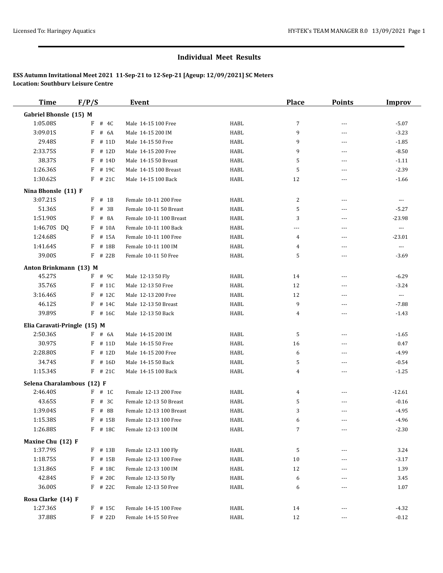| <b>Time</b>                    | F/P/S      | <b>Event</b>            |      | <b>Place</b> | <b>Points</b>  | <b>Improv</b> |
|--------------------------------|------------|-------------------------|------|--------------|----------------|---------------|
| Gabriel Bhonsle (15) M         |            |                         |      |              |                |               |
| 1:05.08S                       | F<br># 4C  | Male 14-15 100 Free     | HABL | 7            | $\sim$ $\sim$  | $-5.07$       |
| 3:09.01S                       | F<br># 6A  | Male 14-15 200 IM       | HABL | 9            | $\overline{a}$ | $-3.23$       |
| 29.48S                         | F<br># 11D | Male 14-15 50 Free      | HABL | 9            | ---            | $-1.85$       |
| 2:33.75S                       | F<br># 12D | Male 14-15 200 Free     | HABL | 9            | ---            | $-8.50$       |
| 38.37S                         | # 14D<br>F | Male 14-15 50 Breast    | HABL | 5            | ---            | $-1.11$       |
| 1:26.36S                       | F<br># 19C | Male 14-15 100 Breast   | HABL | 5            | ---            | $-2.39$       |
| 1:30.62S                       | $F$ # 21C  | Male 14-15 100 Back     | HABL | 12           | ---            | $-1.66$       |
| Nina Bhonsle (11) F            |            |                         |      |              |                |               |
| 3:07.21S                       | $F$ # 1B   | Female 10-11 200 Free   | HABL | 2            | $  -$          | $\cdots$      |
| 51.36S                         | F<br># 3B  | Female 10-11 50 Breast  | HABL | 5            | ---            | $-5.27$       |
| 1:51.90S                       | F<br># 8A  | Female 10-11 100 Breast | HABL | 3            | $\overline{a}$ | $-23.98$      |
| 1:46.70S DQ                    | # 10A<br>F | Female 10-11 100 Back   | HABL | ---          | $\overline{a}$ | $\cdots$      |
| 1:24.68S                       | F<br># 15A | Female 10-11 100 Free   | HABL | 4            | $---$          | $-23.01$      |
| 1:41.64S                       | F<br># 18B | Female 10-11 100 IM     | HABL | 4            | $\overline{a}$ | $\ldots$      |
| 39.00S                         | F # 22B    | Female 10-11 50 Free    | HABL | 5            | ---            | $-3.69$       |
| Anton Brinkmann (13) M         |            |                         |      |              |                |               |
| 45.27S                         | F # 9C     | Male 12-13 50 Fly       | HABL | 14           | ---            | $-6.29$       |
| 35.76S                         | F<br># 11C | Male 12-13 50 Free      | HABL | 12           | $- - -$        | $-3.24$       |
| 3:16.46S                       | F<br># 12C | Male 12-13 200 Free     | HABL | 12           | ---            | $\cdots$      |
| 46.12S                         | F # 14C    | Male 12-13 50 Breast    | HABL | 9            | $---$          | $-7.88$       |
| 39.89S                         | F # 16C    | Male 12-13 50 Back      | HABL | 4            | ---            | $-1.43$       |
| Elia Caravati-Pringle (15) M   |            |                         |      |              |                |               |
| 2:50.36S                       | $F$ # 6A   | Male 14-15 200 IM       | HABL | 5            | $---$          | $-1.65$       |
| 30.97S                         | $F$ # 11D  | Male 14-15 50 Free      | HABL | 16           | ---            | 0.47          |
| 2:28.80S                       | F<br># 12D | Male 14-15 200 Free     | HABL | 6            | $- - -$        | $-4.99$       |
| 34.74S                         | # 16D<br>F | Male 14-15 50 Back      | HABL | 5            | ---            | $-0.54$       |
| 1:15.34S                       | $F$ # 21C  | Male 14-15 100 Back     | HABL | 4            | $\overline{a}$ | $-1.25$       |
| Selena Charalambous (12) F     |            |                         |      |              |                |               |
| 2:46.40S                       | $F$ # 1C   | Female 12-13 200 Free   | HABL | 4            | ---            | $-12.61$      |
| 43.65S                         | # 3C<br>F  | Female 12-13 50 Breast  | HABL | 5            | ---            | $-0.16$       |
| 1:39.04S                       | F<br># 8B  | Female 12-13 100 Breast | HABL | 3            | ---            | $-4.95$       |
| 1:15.38S                       | F # 15B    | Female 12-13 100 Free   | HABL | 6            | $---$          | $-4.96$       |
| 1:26.88S                       | F # 18C    | Female 12-13 100 IM     | HABL | 7            | ---            | $-2.30$       |
| Maxine Chu (12) F              |            |                         |      |              |                |               |
| 1:37.79S                       | F # 13B    | Female 12-13 100 Fly    | HABL | 5            | ---            | 3.24          |
| 1:18.75S                       | F # 15B    | Female 12-13 100 Free   | HABL | 10           | ---            | $-3.17$       |
| 1:31.86S                       | F # 18C    | Female 12-13 100 IM     | HABL | 12           | $\cdots$       | 1.39          |
| 42.84S                         | F # 20C    | Female 12-13 50 Fly     | HABL | 6            |                | 3.45          |
| 36.00S                         | $F$ # 22C  | Female 12-13 50 Free    | HABL | 6            | ---            | 1.07          |
|                                |            |                         |      |              |                |               |
| Rosa Clarke (14) F<br>1:27.36S | $F$ # 15C  | Female 14-15 100 Free   | HABL | 14           | $---$          | $-4.32$       |
| 37.88S                         | $F$ # 22D  | Female 14-15 50 Free    | HABL | 12           | ---            | $-0.12$       |
|                                |            |                         |      |              |                |               |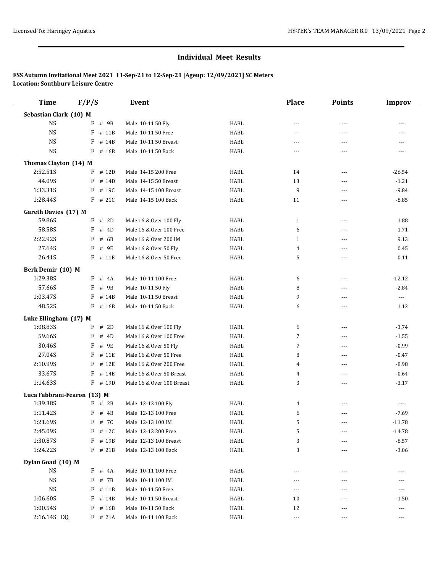| <b>Time</b>                 | F/P/S       | <b>Event</b>              |              | <b>Place</b>         | <b>Points</b>  | <b>Improv</b>            |
|-----------------------------|-------------|---------------------------|--------------|----------------------|----------------|--------------------------|
| Sebastian Clark (10) M      |             |                           |              |                      |                |                          |
| <b>NS</b>                   | F<br># 9B   | Male 10-11 50 Fly         | HABL         | $---$                | $\overline{a}$ | $- - -$                  |
| $_{\rm NS}$                 | # 11B<br>F  | Male 10-11 50 Free        | HABL         | $---$                | $\overline{a}$ | $---$                    |
| <b>NS</b>                   | F # 14B     | Male 10-11 50 Breast      | HABL         | ---                  | ---            |                          |
| <b>NS</b>                   | F # 16B     | Male 10-11 50 Back        | HABL         | $\cdots$             | $- - -$        |                          |
| Thomas Clayton (14) M       |             |                           |              |                      |                |                          |
| 2:52.51S                    | $F$ # 12D   | Male 14-15 200 Free       | HABL         | 14                   | ---            | $-26.54$                 |
| 44.09S                      | F<br># 14D  | Male 14-15 50 Breast      | HABL         | 13                   | $\overline{a}$ | $-1.21$                  |
| 1:33.31S                    | F # 19C     | Male 14-15 100 Breast     | HABL         | 9                    | $---$          | $-9.84$                  |
| 1:28.44S                    | $F$ # 21C   | Male 14-15 100 Back       | HABL         | 11                   | $\overline{a}$ | $-8.85$                  |
| Gareth Davies (17) M        |             |                           |              |                      |                |                          |
| 59.86S                      | $F$ # 2D    | Male 16 & Over 100 Fly    | HABL         | 1                    | $\cdots$       | 1.88                     |
| 58.58S                      | F<br># 4D   | Male 16 & Over 100 Free   | HABL         | 6                    | ---            | 1.71                     |
| 2:22.92S                    | F<br># 6B   | Male 16 & Over 200 IM     | HABL         | $\mathbf{1}$         | ---            | 9.13                     |
| 27.64S                      | F<br># 9E   | Male 16 & Over 50 Fly     | HABL         | 4                    | $\overline{a}$ | 0.45                     |
| 26.41S                      | F # 11E     | Male 16 & Over 50 Free    | HABL         | 5                    | $\overline{a}$ | 0.11                     |
| Berk Demir (10) M           |             |                           |              |                      |                |                          |
| 1:29.38S                    | $F$ # 4A    | Male 10-11 100 Free       | HABL         | 6                    | ---            | $-12.12$                 |
| 57.66S                      | F<br># 9B   | Male 10-11 50 Fly         | HABL         | 8                    | $\overline{a}$ | $-2.84$                  |
| 1:03.47S                    | F<br># 14B  | Male 10-11 50 Breast      | HABL         | 9                    | ---            | $\scriptstyle \cdots$    |
| 48.52S                      | F # 16B     | Male 10-11 50 Back        | HABL         | 6                    | ---            | 1.12                     |
| Luke Ellingham (17) M       |             |                           |              |                      |                |                          |
| 1:08.835                    | F<br># 2D   | Male 16 & Over 100 Fly    | HABL         | 6                    | $\cdots$       | $-3.74$                  |
| 59.66S                      | # $4D$<br>F | Male 16 & Over 100 Free   | HABL         | 7                    | $\overline{a}$ | $-1.55$                  |
| 30.46S                      | F<br># 9E   | Male 16 & Over 50 Fly     | HABL         | 7                    | ---            | $-0.99$                  |
| 27.04S                      | $F$ # 11E   | Male 16 & Over 50 Free    | HABL         | 8                    | $\overline{a}$ | $-0.47$                  |
| 2:10.99S                    | F<br># 12E  | Male 16 & Over 200 Free   | HABL         | 4                    | ---            | $-8.98$                  |
| 33.67S                      | # 14E<br>F  | Male 16 & Over 50 Breast  | HABL         | 4                    | ---            | $-0.64$                  |
| 1:14.63S                    | $F$ # 19D   | Male 16 & Over 100 Breast | HABL         | 3                    | ---            | $-3.17$                  |
| Luca Fabbrani-Fearon (13) M |             |                           |              |                      |                |                          |
| 1:39.38S                    | $F$ # 2B    | Male 12-13 100 Fly        | HABL         | 4                    | ---            | $\overline{a}$           |
| 1:11.42S                    | $F$ # 4B    | Male 12-13 100 Free       | HABL         | 6                    | $- - -$        | $-7.69$                  |
| 1:21.69S                    | F # 7C      | Male 12-13 100 IM         | ${\tt HABL}$ | 5                    |                | $-11.78$                 |
| 2:45.09S                    | $F$ # 12C   | Male 12-13 200 Free       | HABL         | 5                    | ---            | $-14.78$                 |
| 1:30.87S                    | F # 19B     | Male 12-13 100 Breast     | HABL         | 3                    | ---            | $-8.57$                  |
| 1:24.22S                    | $F$ # 21B   | Male 12-13 100 Back       | HABL         | 3                    | ---            | $-3.06$                  |
| Dylan Goad (10) M           |             |                           |              |                      |                |                          |
| <b>NS</b>                   | $F$ # 4A    | Male 10-11 100 Free       | HABL         | ---                  | ---            |                          |
| <b>NS</b>                   | F # 7B      | Male 10-11 100 IM         | HABL         |                      |                |                          |
| <b>NS</b>                   | $F$ # 11B   | Male 10-11 50 Free        | HABL         | ---                  |                | $\cdots$                 |
| 1:06.60S                    | $F$ # 14B   | Male 10-11 50 Breast      | HABL         | 10                   |                | $-1.50$                  |
| 1:00.54S                    | $F$ # 16B   | Male 10-11 50 Back        | HABL         | 12                   | ---            | $\scriptstyle\cdots$     |
| 2:16.14S DQ                 | $F$ # 21A   | Male 10-11 100 Back       | HABL         | $\scriptstyle\cdots$ | ---            | $\hspace{0.05cm} \ldots$ |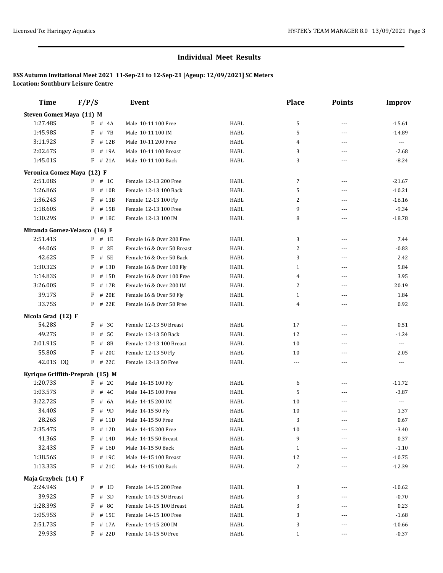| <b>Time</b>                     | F/P/S      | <b>Event</b>               |             | <b>Place</b>   | <b>Points</b>  | <b>Improv</b>         |
|---------------------------------|------------|----------------------------|-------------|----------------|----------------|-----------------------|
| Steven Gomez Maya (11) M        |            |                            |             |                |                |                       |
| 1:27.48S                        | F<br># 4A  | Male 10-11 100 Free        | HABL        | 5              | ---            | $-15.61$              |
| 1:45.98S                        | F<br># 7B  | Male 10-11 100 IM          | <b>HABL</b> | 5              | $\overline{a}$ | $-14.89$              |
| 3:11.92S                        | F<br># 12B | Male 10-11 200 Free        | <b>HABL</b> | 4              | $- - -$        | $\ldots$              |
| 2:02.67S                        | F<br># 19A | Male 10-11 100 Breast      | <b>HABL</b> | 3              | $- - -$        | $-2.68$               |
| 1:45.01S                        | F<br># 21A | Male 10-11 100 Back        | HABL        | 3              | $---$          | $-8.24$               |
| Veronica Gomez Maya (12) F      |            |                            |             |                |                |                       |
| 2:51.08S                        | $F$ # 1C   | Female 12-13 200 Free      | HABL        | 7              | ---            | $-21.67$              |
| 1:26.86S                        | F<br># 10B | Female 12-13 100 Back      | HABL        | 5              | ---            | $-10.21$              |
| 1:36.24S                        | F<br># 13B | Female 12-13 100 Fly       | <b>HABL</b> | 2              | $\overline{a}$ | $-16.16$              |
| 1:18.60S                        | F<br># 15B | Female 12-13 100 Free      | HABL        | 9              | $---$          | $-9.34$               |
| 1:30.29S                        | F<br># 18C | Female 12-13 100 IM        | <b>HABL</b> | 8              | $\overline{a}$ | $-18.78$              |
| Miranda Gomez-Velasco (16) F    |            |                            |             |                |                |                       |
| 2:51.41S                        | $F$ # 1E   | Female 16 & Over 200 Free  | HABL        | 3              | $\sim$ $\sim$  | 7.44                  |
| 44.06S                          | F<br># 3E  | Female 16 & Over 50 Breast | <b>HABL</b> | 2              | ---            | $-0.83$               |
| 42.62S                          | F<br># 5E  | Female 16 & Over 50 Back   | <b>HABL</b> | 3              | $---$          | 2.42                  |
| 1:30.32S                        | F<br># 13D | Female 16 & Over 100 Fly   | <b>HABL</b> | $\mathbf{1}$   | $\overline{a}$ | 5.84                  |
| 1:14.835                        | F<br># 15D | Female 16 & Over 100 Free  | <b>HABL</b> | 4              | $---$          | 3.95                  |
| 3:26.00S                        | F<br># 17B | Female 16 & Over 200 IM    | <b>HABL</b> | $\overline{2}$ | ---            | 20.19                 |
| 39.17S                          | F<br># 20E | Female 16 & Over 50 Fly    | <b>HABL</b> | $\mathbf{1}$   | ---            | 1.84                  |
| 33.75S                          | F<br># 22E | Female 16 & Over 50 Free   | <b>HABL</b> | 4              | $\overline{a}$ | 0.92                  |
| Nicola Grad (12) F              |            |                            |             |                |                |                       |
| 54.28S                          | # 3C<br>F  | Female 12-13 50 Breast     | <b>HABL</b> | 17             | $\cdots$       | 0.51                  |
| 49.27S                          | F<br># 5C  | Female 12-13 50 Back       | HABL        | 12             | ---            | $-1.24$               |
| 2:01.91S                        | F<br># 8B  | Female 12-13 100 Breast    | HABL        | 10             | ---            | $\scriptstyle \cdots$ |
| 55.80S                          | # 20C<br>F | Female 12-13 50 Fly        | HABL        | 10             | $\overline{a}$ | 2.05                  |
| 42.01S DQ                       | F # 22C    | Female 12-13 50 Free       | <b>HABL</b> | ---            | $- - -$        | $\cdots$              |
| Kyrique Griffith-Preprah (15) M |            |                            |             |                |                |                       |
| 1:20.73S                        | F # 2C     | Male 14-15 100 Fly         | HABL        | 6              | ---            | $-11.72$              |
| 1:03.57S                        | F<br># 4C  | Male 14-15 100 Free        | HABL        | 5              | $---$          | $-3.87$               |
| 3:22.72S                        | # 6A<br>F  | Male 14-15 200 IM          | HABL        | 10             | ---            | $\cdots$              |
| 34.40S                          | # 9D<br>F  | Male 14-15 50 Fly          | <b>HABL</b> | 10             | $\overline{a}$ | 1.37                  |
| 28.26S                          | $F$ # 11D  | Male 14-15 50 Free         | HABL        | 3              | ---            | 0.67                  |
| 2:35.47S                        | $F$ # 12D  | Male 14-15 200 Free        | HABL        | 10             |                | $-3.40$               |
| 41.36S                          | F<br># 14D | Male 14-15 50 Breast       | HABL        | 9              | ---            | 0.37                  |
| 32.43S                          | F<br># 16D | Male 14-15 50 Back         | HABL        | $\mathbf{1}$   |                | $-1.10$               |
| 1:38.56S                        | F<br># 19C | Male 14-15 100 Breast      | HABL        | 12             | $---$          | $-10.75$              |
| 1:13.33S                        | $F$ # 21C  | Male 14-15 100 Back        | HABL        | 2              | ---            | $-12.39$              |
|                                 |            |                            |             |                |                |                       |
| Maja Grzybek (14) F<br>2:24.94S | F<br># 1D  | Female 14-15 200 Free      | HABL        | 3              |                | $-10.62$              |
| 39.92S                          | F<br># 3D  | Female 14-15 50 Breast     | HABL        | 3              | ---            | $-0.70$               |
| 1:28.39S                        | # 8C<br>F  | Female 14-15 100 Breast    | HABL        | 3              | ---            | 0.23                  |
| 1:05.95S                        | F<br># 15C | Female 14-15 100 Free      | HABL        | 3              |                | $-1.68$               |
| 2:51.73S                        | F # 17A    | Female 14-15 200 IM        | HABL        | 3              | ---            | $-10.66$              |
| 29.93S                          | $F$ # 22D  | Female 14-15 50 Free       | HABL        | $\mathbf{1}$   | ---            | $-0.37$               |
|                                 |            |                            |             |                |                |                       |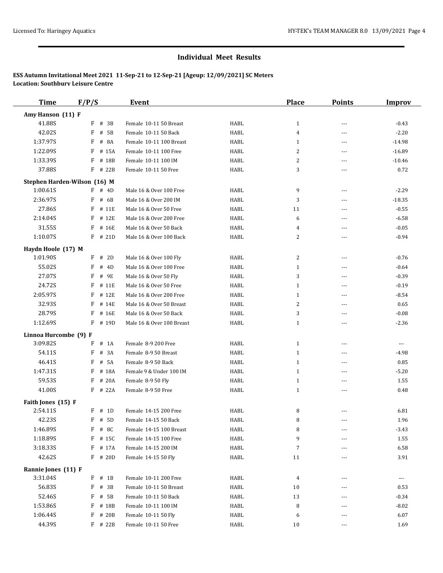| <b>Time</b>           | F/P/S                        | <b>Event</b>              |      | <b>Place</b>   | <b>Points</b>  | <b>Improv</b>        |
|-----------------------|------------------------------|---------------------------|------|----------------|----------------|----------------------|
| Amy Hanson (11) F     |                              |                           |      |                |                |                      |
| 41.88S                | $F$ # 3B                     | Female 10-11 50 Breast    | HABL | $\mathbf{1}$   | $- - -$        | $-0.43$              |
| 42.02S                | F<br># 5B                    | Female 10-11 50 Back      | HABL | $\overline{4}$ | ---            | $-2.20$              |
| 1:37.97S              | F<br># 8A                    | Female 10-11 100 Breast   | HABL | 1              | $---$          | $-14.98$             |
| 1:22.09S              | F<br># 15A                   | Female 10-11 100 Free     | HABL | 2              | ---            | $-16.89$             |
| 1:33.39S              | F<br># 18B                   | Female 10-11 100 IM       | HABL | 2              | ---            | $-10.46$             |
| 37.88S                | F # 22B                      | Female 10-11 50 Free      | HABL | 3              | $\overline{a}$ | 0.72                 |
|                       | Stephen Harden-Wilson (16) M |                           |      |                |                |                      |
| 1:00.61S              | $F$ # 4D                     | Male 16 & Over 100 Free   | HABL | 9              | $\cdots$       | $-2.29$              |
| 2:36.97S              | $F$ # 6B                     | Male 16 & Over 200 IM     | HABL | 3              | ---            | $-18.35$             |
| 27.86S                | F<br># 11E                   | Male 16 & Over 50 Free    | HABL | 11             | $\overline{a}$ | $-0.55$              |
| 2:14.04S              | $F$ # 12E                    | Male 16 & Over 200 Free   | HABL | 6              | ---            | $-6.58$              |
| 31.55S                | F<br># 16E                   | Male 16 & Over 50 Back    | HABL | 4              | ---            | $-0.05$              |
| 1:10.07S              | $F$ # 21D                    | Male 16 & Over 100 Back   | HABL | 2              | ---            | $-0.94$              |
|                       |                              |                           |      |                |                |                      |
| Haydn Hoole (17) M    |                              |                           |      |                |                |                      |
| 1:01.90S              | $F$ # 2D                     | Male 16 & Over 100 Fly    | HABL | 2              | ---            | $-0.76$              |
| 55.02S                | F<br># 4D                    | Male 16 & Over 100 Free   | HABL | $\mathbf{1}$   | $---$          | $-0.64$              |
| 27.07S                | F<br># 9E                    | Male 16 & Over 50 Fly     | HABL | 3              | $\overline{a}$ | $-0.39$              |
| 24.72S                | F # 11E                      | Male 16 & Over 50 Free    | HABL | $\mathbf{1}$   | ---            | $-0.19$              |
| 2:05.97S              | $F$ # 12E                    | Male 16 & Over 200 Free   | HABL | $\mathbf{1}$   | $---$          | $-8.54$              |
| 32.93S                | F<br># 14E                   | Male 16 & Over 50 Breast  | HABL | 2              | ---            | 0.65                 |
| 28.79S                | F<br># 16E                   | Male 16 & Over 50 Back    | HABL | 3              | ---            | $-0.08$              |
| 1:12.69S              | F # 19D                      | Male 16 & Over 100 Breast | HABL | $\mathbf{1}$   | ---            | $-2.36$              |
| Linnoa Hurcombe (9) F |                              |                           |      |                |                |                      |
| 3:09.82S              | F<br>$#$ 1A                  | Female 8-9 200 Free       | HABL | $\mathbf{1}$   | $- - -$        | $\scriptstyle\cdots$ |
| 54.11S                | F<br># 3A                    | Female 8-9 50 Breast      | HABL | $\mathbf{1}$   | ---            | $-4.98$              |
| 46.41S                | F<br># 5A                    | Female 8-9 50 Back        | HABL | $\mathbf{1}$   | $---$          | 0.85                 |
| 1:47.31S              | F<br># 18A                   | Female 9 & Under 100 IM   | HABL | $\mathbf{1}$   | ---            | $-5.20$              |
| 59.53S                | # 20A<br>F                   | Female 8-9 50 Fly         | HABL | $\mathbf{1}$   | ---            | 1.55                 |
| 41.00S                | F # 22A                      | Female 8-9 50 Free        | HABL | $\mathbf{1}$   | ---            | 0.48                 |
| Faith Jones (15) F    |                              |                           |      |                |                |                      |
| 2:54.11S              | $F$ # 1D                     | Female 14-15 200 Free     | HABL | 8              |                | 6.81                 |
| 42.23S                | $F$ # 5D                     | Female 14-15 50 Back      | HABL | 8              |                | 1.96                 |
| 1:46.89S              | F # 8C                       | Female 14-15 100 Breast   | HABL | 8              | $---$          | $-3.43$              |
| 1:18.89S              | F # 15C                      | Female 14-15 100 Free     | HABL | 9              | ---            | 1.55                 |
| 3:18.33S              | F # 17A                      | Female 14-15 200 IM       | HABL | 7              | ---            | 6.58                 |
| 42.62S                | $F$ # 20D                    | Female 14-15 50 Fly       | HABL | 11             | $---$          | 3.91                 |
|                       |                              |                           |      |                |                |                      |
| Rannie Jones (11) F   |                              |                           |      |                |                |                      |
| 3:31.04S              | $F$ # 1B                     | Female 10-11 200 Free     | HABL | 4              | $---$          | $\cdots$             |
| 56.83S                | F # 3B                       | Female 10-11 50 Breast    | HABL | 10             | ---            | 0.53                 |
| 52.46S                | $F$ # 5B                     | Female 10-11 50 Back      | HABL | 13             | $---$          | $-0.34$              |
| 1:53.86S              | # 18B<br>F                   | Female 10-11 100 IM       | HABL | 8              | ---            | $-8.02$              |
| 1:06.44S              | F # 20B                      | Female 10-11 50 Fly       | HABL | 6              | $---$          | 6.07                 |
| 44.39S                | $F$ # 22B                    | Female 10-11 50 Free      | HABL | 10             | $\cdots$       | 1.69                 |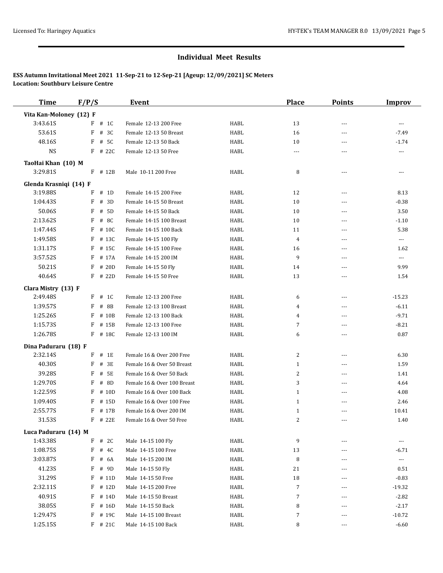| <b>Time</b>             | F/P/S |           | Event                       |             | <b>Place</b>   | <b>Points</b>  | <b>Improv</b>            |
|-------------------------|-------|-----------|-----------------------------|-------------|----------------|----------------|--------------------------|
| Vita Kan-Moloney (12) F |       |           |                             |             |                |                |                          |
| 3:43.61S                |       | $F$ # 1C  | Female 12-13 200 Free       | HABL        | 13             | $---$          | $---$                    |
| 53.61S                  | F     | # 3C      | Female 12-13 50 Breast      | <b>HABL</b> | 16             | $---$          | $-7.49$                  |
| 48.16S                  | F     | # 5C      | Female 12-13 50 Back        | <b>HABL</b> | 10             | $\cdots$       | $-1.74$                  |
| <b>NS</b>               |       | $F$ # 22C | Female 12-13 50 Free        | HABL        | ---            | ---            |                          |
| TaoHai Khan (10) M      |       |           |                             |             |                |                |                          |
| 3:29.81S                |       | F # 12B   | Male 10-11 200 Free         | HABL        | 8              | $---$          | $\frac{1}{2}$            |
| Glenda Krasniqi (14) F  |       |           |                             |             |                |                |                          |
| 3:19.88S                | F     | # 1D      | Female 14-15 200 Free       | HABL        | 12             | ---            | 8.13                     |
| 1:04.43S                | F     | # 3D      | Female 14-15 50 Breast      | <b>HABL</b> | 10             | $---$          | $-0.38$                  |
| 50.06S                  | F     | # 5D      | Female 14-15 50 Back        | <b>HABL</b> | 10             | $\cdots$       | 3.50                     |
| 2:13.62S                |       | F # 8C    | Female 14-15 100 Breast     | HABL        | 10             | $\cdots$       | $-1.10$                  |
| 1:47.44S                | F     | # 10C     | Female 14-15 100 Back       | <b>HABL</b> | 11             | $\overline{a}$ | 5.38                     |
| 1:49.58S                | F     | # 13C     | Female 14-15 100 Fly        | HABL        | 4              | ---            | $\scriptstyle \cdots$    |
| 1:31.17S                | F     | # 15C     | Female 14-15 100 Free       | <b>HABL</b> | 16             | ---            | 1.62                     |
| 3:57.52S                | F     | # 17A     | Female 14-15 200 IM         | <b>HABL</b> | 9              | ---            | $\overline{\phantom{a}}$ |
| 50.21S                  | F     | # 20D     | Female 14-15 50 Fly         | <b>HABL</b> | 14             | $---$          | 9.99                     |
| 40.64S                  |       | $F$ # 22D | Female 14-15 50 Free        | <b>HABL</b> | 13             | ---            | 1.54                     |
| Clara Mistry (13) F     |       |           |                             |             |                |                |                          |
| 2:49.48S                |       | $F$ # 1C  | Female 12-13 200 Free       | HABL        | 6              | ---            | $-15.23$                 |
| 1:39.57S                | F     | # 8B      | Female 12-13 100 Breast     | <b>HABL</b> | 4              | $\cdots$       | $-6.11$                  |
| 1:25.26S                | F     | # 10B     | Female 12-13 100 Back       | <b>HABL</b> | 4              | $\cdots$       | $-9.71$                  |
| 1:15.73S                | F     | # 15B     | Female 12-13 100 Free       | HABL        | 7              | ---            | $-8.21$                  |
| 1:26.78S                |       | F # 18C   | Female 12-13 100 IM         | <b>HABL</b> | 6              | ---            | 0.87                     |
| Dina Paduraru (18) F    |       |           |                             |             |                |                |                          |
| 2:32.14S                |       | $F$ # 1E  | Female 16 & Over 200 Free   | HABL        | 2              | $- - -$        | 6.30                     |
| 40.30S                  | F     | # 3E      | Female 16 & Over 50 Breast  | <b>HABL</b> | $\mathbf{1}$   | ---            | 1.59                     |
| 39.28S                  | F     | # 5E      | Female 16 & Over 50 Back    | HABL        | 2              | ---            | 1.41                     |
| 1:29.70S                | F     | # 8D      | Female 16 & Over 100 Breast | <b>HABL</b> | 3              | ---            | 4.64                     |
| 1:22.59S                | F     | # 10D     | Female 16 & Over 100 Back   | HABL        | $\mathbf{1}$   | ---            | 4.08                     |
| 1:09.40S                | F     | # 15D     | Female 16 & Over 100 Free   | <b>HABL</b> | $\mathbf{1}$   | $\cdots$       | 2.46                     |
| 2:55.77S                |       | $F$ # 17B | Female 16 & Over 200 IM     | <b>HABL</b> | $\mathbf{1}$   | ---            | 10.41                    |
| 31.53S                  |       | $F$ # 22E | Female 16 & Over 50 Free    | HABL        |                |                | 1.40                     |
| Luca Paduraru (14) M    |       |           |                             |             |                |                |                          |
| 1:43.38S                |       | $F$ # 2C  | Male 14-15 100 Fly          | HABL        | 9              | ---            | $\cdots$                 |
| 1:08.75S                | F     | # 4C      | Male 14-15 100 Free         | HABL        | 13             | $\cdots$       | $-6.71$                  |
| 3:03.87S                |       | F # 6A    | Male 14-15 200 IM           | HABL        | 8              |                | ---                      |
| 41.23S                  | F     | # 9D      | Male 14-15 50 Fly           | HABL        | 21             | ---            | 0.51                     |
| 31.29S                  |       | $F$ # 11D | Male 14-15 50 Free          | HABL        | 18             |                | $-0.83$                  |
| 2:32.11S                | F     | # 12D     | Male 14-15 200 Free         | HABL        | $\overline{7}$ | ---            | $-19.32$                 |
| 40.91S                  | F     | # 14D     | Male 14-15 50 Breast        | HABL        | 7              |                | $-2.82$                  |
| 38.05S                  |       | $F$ # 16D | Male 14-15 50 Back          | HABL        | 8              | ---            | $-2.17$                  |
| 1:29.47S                |       | F # 19C   | Male 14-15 100 Breast       | HABL        | 7              | $\overline{a}$ | $-10.72$                 |
| 1:25.15S                |       | $F$ # 21C | Male 14-15 100 Back         | HABL        | 8              | $\cdots$       | $-6.60$                  |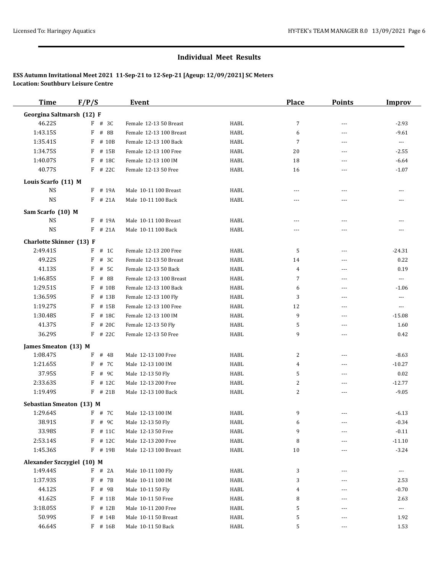| <b>Time</b>                     | F/P/S      | Event                   |             | <b>Place</b>   | <b>Points</b>  | <b>Improv</b>            |
|---------------------------------|------------|-------------------------|-------------|----------------|----------------|--------------------------|
| Georgina Saltmarsh (12) F       |            |                         |             |                |                |                          |
| 46.22S                          | $F$ # 3C   | Female 12-13 50 Breast  | HABL        | $\overline{7}$ | $\overline{a}$ | $-2.93$                  |
| 1:43.15S                        | F<br># 8B  | Female 12-13 100 Breast | <b>HABL</b> | 6              | $\overline{a}$ | $-9.61$                  |
| 1:35.41S                        | F<br># 10B | Female 12-13 100 Back   | <b>HABL</b> | $\overline{7}$ | ---            | $\overline{\phantom{a}}$ |
| 1:34.75S                        | F<br># 15B | Female 12-13 100 Free   | HABL        | 20             | ---            | $-2.55$                  |
| 1:40.07S                        | F<br># 18C | Female 12-13 100 IM     | <b>HABL</b> | 18             | ---            | $-6.64$                  |
| 40.77S                          | $F$ # 22C  | Female 12-13 50 Free    | HABL        | 16             | ---            | $-1.07$                  |
| Louis Scarfo (11) M             |            |                         |             |                |                |                          |
| <b>NS</b>                       | $F$ # 19A  | Male 10-11 100 Breast   | HABL        | ---            | ---            | ---                      |
| $_{\rm NS}$                     | $F$ # 21A  | Male 10-11 100 Back     | HABL        | $---$          | ---            | ---                      |
| Sam Scarfo (10) M               |            |                         |             |                |                |                          |
| NS                              | F # 19A    | Male 10-11 100 Breast   | HABL        | $\cdots$       | $---$          |                          |
| $_{\rm NS}$                     | $F$ # 21A  | Male 10-11 100 Back     | HABL        | $---$          | ---            |                          |
| <b>Charlotte Skinner</b> (13) F |            |                         |             |                |                |                          |
| 2:49.41S                        | $F$ # 1C   | Female 12-13 200 Free   | HABL        | 5              | ---            | $-24.31$                 |
| 49.22S                          | $F$ # 3C   | Female 12-13 50 Breast  | HABL        | 14             | $- - -$        | 0.22                     |
| 41.13S                          | # 5C<br>F  | Female 12-13 50 Back    | <b>HABL</b> | 4              | $\overline{a}$ | 0.19                     |
| 1:46.85S                        | # 8B<br>F  | Female 12-13 100 Breast | HABL        | 7              | $\overline{a}$ | ---                      |
| 1:29.51S                        | F<br># 10B | Female 12-13 100 Back   | HABL        |                | $\overline{a}$ |                          |
| 1:36.59S                        | F<br># 13B |                         | HABL        | 6<br>3         | $\overline{a}$ | $-1.06$                  |
| 1:19.27S                        |            | Female 12-13 100 Fly    |             |                |                | ---                      |
|                                 | F<br># 15B | Female 12-13 100 Free   | HABL        | 12             | ---            | ---                      |
| 1:30.48S                        | # 18C<br>F | Female 12-13 100 IM     | <b>HABL</b> | 9              | $\overline{a}$ | $-15.08$                 |
| 41.37S                          | # 20C<br>F | Female 12-13 50 Fly     | HABL        | 5              | $- - -$        | 1.60                     |
| 36.29S                          | # 22C<br>F | Female 12-13 50 Free    | HABL        | 9              | $\overline{a}$ | 0.42                     |
| James Smeaton (13) M            |            |                         |             |                |                |                          |
| 1:08.47S                        | F<br># 4B  | Male 12-13 100 Free     | HABL        | 2              | $---$          | $-8.63$                  |
| 1:21.65S                        | F<br># 7C  | Male 12-13 100 IM       | HABL        | 4              | ---            | $-10.27$                 |
| 37.95S                          | F<br># 9C  | Male 12-13 50 Fly       | HABL        | 5              | $\overline{a}$ | 0.02                     |
| 2:33.63S                        | # 12C<br>F | Male 12-13 200 Free     | <b>HABL</b> | 2              | ---            | $-12.77$                 |
| 1:19.49S                        | F # 21B    | Male 12-13 100 Back     | HABL        | 2              | ---            | $-9.05$                  |
| <b>Sebastian Smeaton (13) M</b> |            |                         |             |                |                |                          |
| 1:29.64S                        | $F$ # 7C   | Male 12-13 100 IM       | HABL        | 9              |                | $-6.13$                  |
| 38.91S                          | F # 9C     | Male 12-13 50 Fly       | HABL        | 6              |                | $-0.34$                  |
| 33.98S                          | F<br># 11C | Male 12-13 50 Free      | HABL        | 9              | ---            | $-0.11$                  |
| 2:53.14S                        | F # 12C    | Male 12-13 200 Free     | HABL        | 8              | $---$          | $-11.10$                 |
| 1:45.36S                        | F # 19B    | Male 12-13 100 Breast   | HABL        | 10             | ---            | $-3.24$                  |
| Alexander Szczygiel (10) M      |            |                         |             |                |                |                          |
| 1:49.44S                        | $F$ # 2A   | Male 10-11 100 Fly      | HABL        | 3              | $---$          | ---                      |
| 1:37.93S                        | F<br># 7B  | Male 10-11 100 IM       | HABL        | 3              | ---            | 2.53                     |
| 44.12S                          | F # 9B     | Male 10-11 50 Fly       | HABL        | 4              | $---$          | $-0.70$                  |
| 41.62S                          | $F$ # 11B  | Male 10-11 50 Free      | HABL        | 8              |                | 2.63                     |
| 3:18.05S                        | F<br># 12B | Male 10-11 200 Free     | HABL        | 5              | ---            | $\cdots$                 |
| 50.99S                          | F<br># 14B | Male 10-11 50 Breast    | HABL        | 5              | ---            | 1.92                     |
| 46.64S                          | $F$ # 16B  | Male 10-11 50 Back      | HABL        | 5              | ---            | 1.53                     |